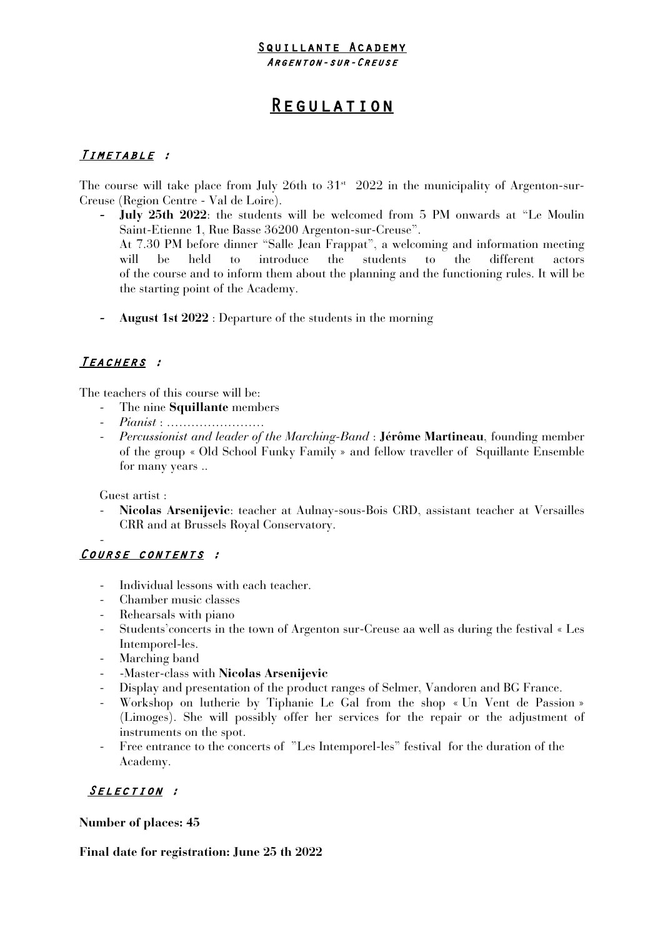#### SQUILLANTE ACADEMY Argenton-sur-Creuse

# Regulation

# Timetable :

The course will take place from July 26th to  $31<sup>st</sup>$  2022 in the municipality of Argenton-sur-Creuse (Region Centre - Val de Loire).

- **- July 25th 2022**: the students will be welcomed from 5 PM onwards at "Le Moulin Saint-Etienne 1, Rue Basse 36200 Argenton-sur-Creuse". At 7.30 PM before dinner "Salle Jean Frappat", a welcoming and information meeting will be held to introduce the students to the different actors of the course and to inform them about the planning and the functioning rules. It will be the starting point of the Academy.
- **- August 1st 2022** : Departure of the students in the morning

## Teachers :

The teachers of this course will be:

- The nine **Squillante** members
- *Pianist* : ……………………
- *Percussionist and leader of the Marching-Band* : **Jérôme Martineau**, founding member of the group « Old School Funky Family » and fellow traveller of Squillante Ensemble for many years ..

Guest artist :

- **Nicolas Arsenijevic**: teacher at Aulnay-sous-Bois CRD, assistant teacher at Versailles CRR and at Brussels Royal Conservatory.

#### - Course contents :

- Individual lessons with each teacher.
- Chamber music classes
- Rehearsals with piano
- Students'concerts in the town of Argenton sur-Creuse aa well as during the festival « Les Intemporel-les.
- Marching band
- -Master-class with **Nicolas Arsenijevic**
- Display and presentation of the product ranges of Selmer, Vandoren and BG France.
- Workshop on lutherie by Tiphanie Le Gal from the shop « Un Vent de Passion » (Limoges). She will possibly offer her services for the repair or the adjustment of instruments on the spot.
- Free entrance to the concerts of "Les Intemporel-les" festival for the duration of the Academy.

## SELECTION :

### **Number of places: 45**

### **Final date for registration: June 25 th 2022**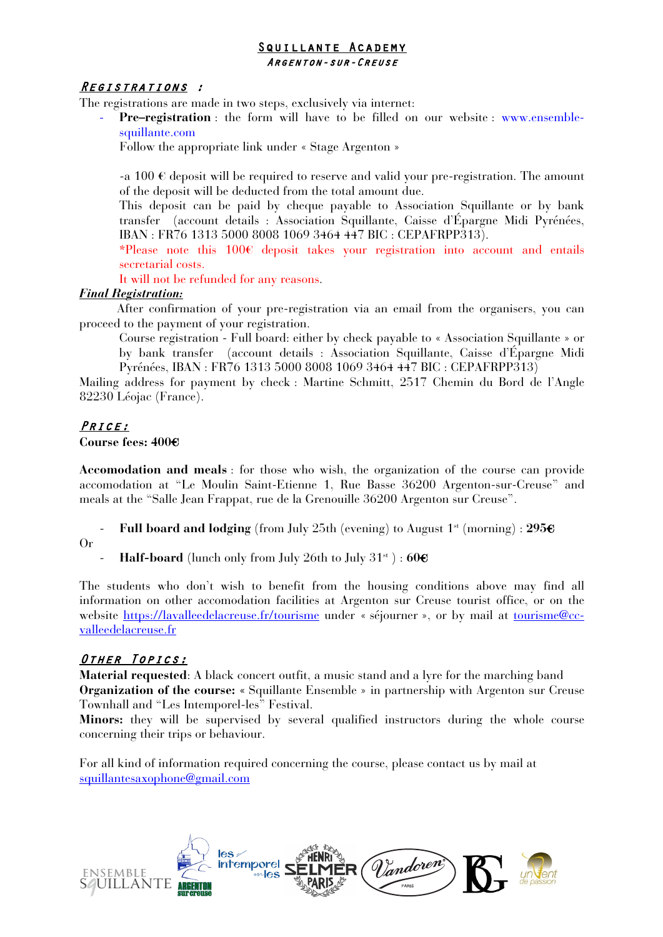### SQUILLANTE ACADEMY Argenton-sur-Creuse

## Registrations :

The registrations are made in two steps, exclusively via internet:

**Pre-registration**: the form will have to be filled on our website: www.ensemblesquillante.com

Follow the appropriate link under « Stage Argenton »

-a 100  $\epsilon$  deposit will be required to reserve and valid your pre-registration. The amount of the deposit will be deducted from the total amount due.

This deposit can be paid by cheque payable to Association Squillante or by bank transfer (account details : Association Squillante, Caisse d'Épargne Midi Pyrénées, IBAN : FR76 1313 5000 8008 1069 3464 447 BIC : CEPAFRPP313).

\*Please note this 100€ deposit takes your registration into account and entails secretarial costs.

It will not be refunded for any reasons.

### *Final Registration:*

 After confirmation of your pre-registration via an email from the organisers, you can proceed to the payment of your registration.

Course registration - Full board: either by check payable to « Association Squillante » or by bank transfer (account details : Association Squillante, Caisse d'Épargne Midi Pyrénées, IBAN : FR76 1313 5000 8008 1069 3464 447 BIC : CEPAFRPP313)

Mailing address for payment by check : Martine Schmitt, 2517 Chemin du Bord de l'Angle 82230 Léojac (France).

# Price:

### **Course fees: 400**€

**Accomodation and meals** : for those who wish, the organization of the course can provide accomodation at "Le Moulin Saint-Etienne 1, Rue Basse 36200 Argenton-sur-Creuse" and meals at the "Salle Jean Frappat, rue de la Grenouille 36200 Argenton sur Creuse".

**Full board and lodging** (from July 25th (evening) to August 1<sup>st</sup> (morning) : 295€

Or

- **Half-board** (lunch only from July 26th to July 31st ) : **60**€

The students who don't wish to benefit from the housing conditions above may find all information on other accomodation facilities at Argenton sur Creuse tourist office, or on the website https://lavalleedelacreuse.fr/tourisme under « séjourner », or by mail at tourisme@ccvalleedelacreuse.fr

## Other Topics:

**Material requested**: A black concert outfit, a music stand and a lyre for the marching band **Organization of the course: «** Squillante Ensemble » in partnership with Argenton sur Creuse Townhall and "Les Intemporel-les" Festival.

**Minors:** they will be supervised by several qualified instructors during the whole course concerning their trips or behaviour.

For all kind of information required concerning the course, please contact us by mail at squillantesaxophone@gmail.com